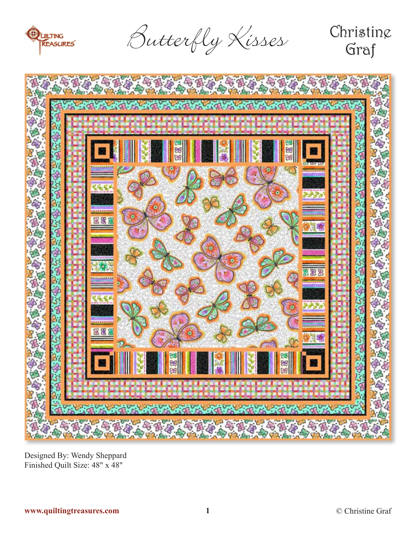

Butterfly Kisses

# Christing Graf



Designed By: Wendy Sheppard Finished Quilt Size: 48" x 48"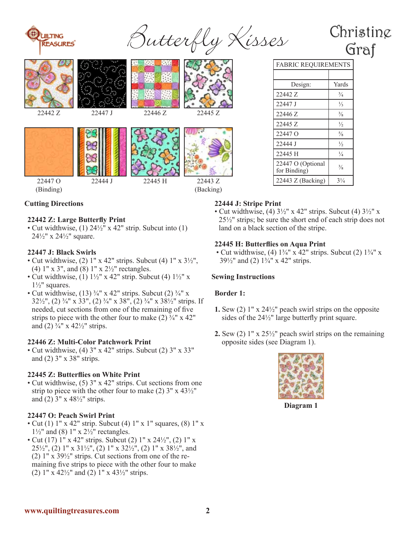

Sutterfly Kisses

# Christine Graf









22443 Z (Backing)

|         |         | $\mathcal{L}$                 |         | Design:                           | Yards          |
|---------|---------|-------------------------------|---------|-----------------------------------|----------------|
|         |         | H.<br><b>START COLLECTION</b> |         | 22442 Z                           | $\frac{3}{4}$  |
|         |         |                               |         | 22447 J                           | $\frac{1}{3}$  |
| 22442 Z | 22447 J | 22446 Z                       | 22445 Z | 22446 Z                           | $\frac{3}{8}$  |
|         |         |                               |         | 22445 Z                           | $\frac{1}{2}$  |
|         |         |                               |         | 22447 O                           | $\frac{5}{8}$  |
|         |         |                               |         | 22444 J                           | $\frac{1}{2}$  |
|         |         |                               |         | 22445 H                           | $\frac{1}{4}$  |
|         |         |                               |         | 22447 O (Optional<br>for Binding) | $\frac{3}{8}$  |
| 22447 O | 22444 J | 22445 H                       | 22443 Z | $22443 Z$ (Backing)               | $3\frac{1}{4}$ |

FABRIC REQUIREMENTS

# **Cutting Directions**

(Binding)

#### **22442 Z: Large Butterfly Print**

• Cut widthwise, (1) 24½" x 42" strip. Subcut into (1)  $24\frac{1}{2}$ " x  $24\frac{1}{2}$ " square.

#### **22447 J: Black Swirls**

- Cut widthwise, (2)  $1'' \times 42''$  strips. Subcut (4)  $1'' \times 3\frac{1}{2}$ , (4) 1" x 3", and (8) 1" x 2½" rectangles.
- Cut widthwise, (1)  $1\frac{1}{2}$ " x 42" strip. Subcut (4)  $1\frac{1}{2}$ " x  $1\frac{1}{2}$ " squares.
- Cut widthwise,  $(13)$   $\frac{3}{4}$ " x 42" strips. Subcut  $(2)$   $\frac{3}{4}$ " x 32½", (2) ¾" x 33", (2) ¾" x 38", (2) ¾" x 38½" strips. If needed, cut sections from one of the remaining of five strips to piece with the other four to make  $(2)$   $\frac{3}{4}$ " x 42" and (2)  $\frac{3}{4}$ " x 42 $\frac{1}{2}$ " strips.

#### **22446 Z: Multi-Color Patchwork Print**

• Cut widthwise, (4) 3" x 42" strips. Subcut (2) 3" x 33" and (2) 3" x 38" strips.

#### **22445 Z: Butterflies on White Print**

• Cut widthwise, (5) 3" x 42" strips. Cut sections from one strip to piece with the other four to make  $(2)$  3" x 43 $\frac{1}{2}$ " and (2)  $3'' \times 48\frac{1}{2}$  strips.

#### **22447 O: Peach Swirl Print**

- Cut (1)  $1''$  x 42" strip. Subcut (4)  $1''$  x  $1''$  squares, (8)  $1''$  x  $1\frac{1}{2}$ " and (8)  $1$ " x  $2\frac{1}{2}$ " rectangles.
- Cut (17)  $1''$  x 42" strips. Subcut (2)  $1''$  x  $24\frac{1}{2}$ ", (2)  $1''$  x  $25\frac{1}{2}$ , (2) 1" x 31 $\frac{1}{2}$ , (2) 1" x 32 $\frac{1}{2}$ , (2) 1" x 38 $\frac{1}{2}$ , and (2)  $1'' \times 39\frac{1}{2}''$  strips. Cut sections from one of the remaining five strips to piece with the other four to make (2)  $1''$  x  $42\frac{1}{2}$  and (2)  $1''$  x  $43\frac{1}{2}$  strips.

#### **22444 J: Stripe Print**

• Cut widthwise, (4)  $3\frac{1}{2}$ " x 42" strips. Subcut (4)  $3\frac{1}{2}$ " x 25½" strips; be sure the short end of each strip does not land on a black section of the stripe.

#### **22445 H: Butterflies on Aqua Print**

• Cut widthwise, (4)  $1\frac{3}{4}$ " x  $42$ " strips. Subcut (2)  $1\frac{3}{4}$ " x 39 $\frac{1}{2}$ " and (2)  $\frac{1}{4}$ " x 42" strips.

### **Sewing Instructions**

#### **Border 1:**

- **1.** Sew (2) 1" x 24½" peach swirl strips on the opposite sides of the 24½" large butterfly print square.
- **2.** Sew (2) 1" x 25½" peach swirl strips on the remaining opposite sides (see Diagram 1).



**Diagram 1**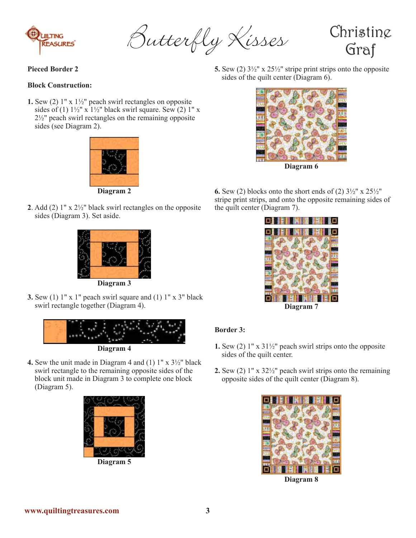

Butterfly Kisses

Christine Graf

### **Pieced Border 2**

#### **Block Construction:**

**1.** Sew (2) 1" x 1½" peach swirl rectangles on opposite sides of (1)  $1\frac{1}{2}$ " x  $1\frac{1}{2}$ " black swirl square. Sew (2) 1" x 2½" peach swirl rectangles on the remaining opposite sides (see Diagram 2).



**Diagram 2**

**2**. Add (2) 1" x 2½" black swirl rectangles on the opposite sides (Diagram 3). Set aside.



**Diagram 3**

**3.** Sew (1)  $1''$  x  $1''$  peach swirl square and (1)  $1''$  x  $3''$  black swirl rectangle together (Diagram 4).



**Diagram 4**

**4.** Sew the unit made in Diagram 4 and (1) 1" x 3½" black swirl rectangle to the remaining opposite sides of the block unit made in Diagram 3 to complete one block (Diagram 5).



**Diagram 5**

**5.** Sew (2) 3½" x 25½" stripe print strips onto the opposite sides of the quilt center (Diagram 6).



**6.** Sew (2) blocks onto the short ends of (2)  $3\frac{1}{2}$ " x  $25\frac{1}{2}$ " stripe print strips, and onto the opposite remaining sides of the quilt center (Diagram 7).



# **Border 3:**

- **1.** Sew (2) 1" x 31½" peach swirl strips onto the opposite sides of the quilt center.
- **2.** Sew (2) 1" x 32½" peach swirl strips onto the remaining opposite sides of the quilt center (Diagram 8).



**Diagram 8**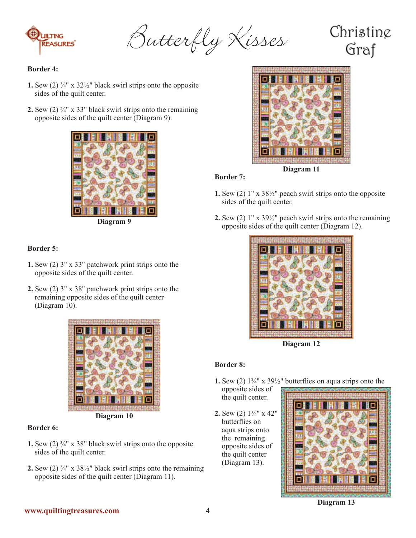

Butterfly Kisses

# Christing Graf

# **Border 4:**

- **1.** Sew (2)  $\frac{3}{4}$ " x  $\frac{32}{2}$ " black swirl strips onto the opposite sides of the quilt center.
- **2.** Sew  $(2)$   $\frac{3}{4}$ " x 33" black swirl strips onto the remaining opposite sides of the quilt center (Diagram 9).





# **Border 5:**

- **1.** Sew (2) 3" x 33" patchwork print strips onto the opposite sides of the quilt center.
- **2.** Sew (2) 3" x 38" patchwork print strips onto the remaining opposite sides of the quilt center (Diagram 10).



#### **Border 6:**

- **1.** Sew (2) ¾" x 38" black swirl strips onto the opposite sides of the quilt center.
- **2.** Sew (2)  $\frac{3}{4}$ " x  $\frac{38}{2}$ " black swirl strips onto the remaining opposite sides of the quilt center (Diagram 11).



# **Border 7:**

- **1.** Sew (2) 1" x 38½" peach swirl strips onto the opposite sides of the quilt center.
- **2.** Sew (2) 1" x 39½" peach swirl strips onto the remaining opposite sides of the quilt center (Diagram 12).



**Diagram 12**

# **Border 8:**

- **1.** Sew (2) 1¾" x 39½" butterflies on aqua strips onto the opposite sides of
- **2.** Sew (2) 1¾" x 42" butterflies on aqua strips onto the remaining opposite sides of the quilt center (Diagram 13).

the quilt center.



**Diagram 13**